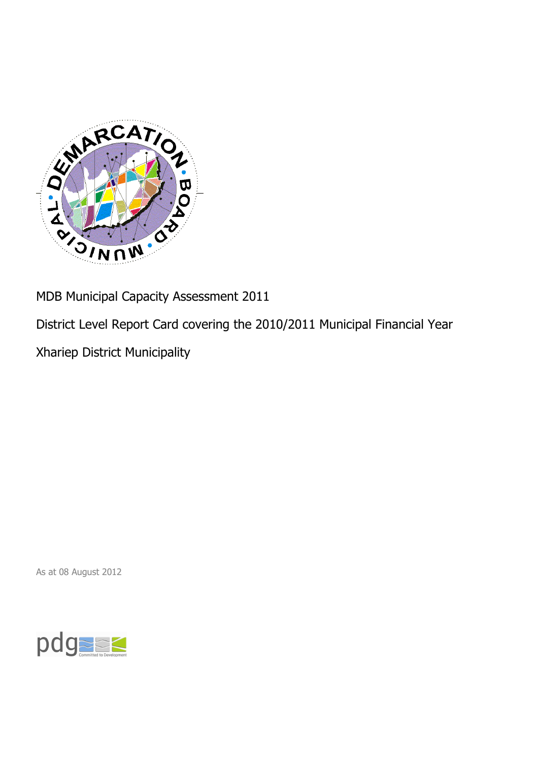

MDB Municipal Capacity Assessment 2011

District Level Report Card covering the 2010/2011 Municipal Financial Year

Xhariep District Municipality

As at 08 August 2012

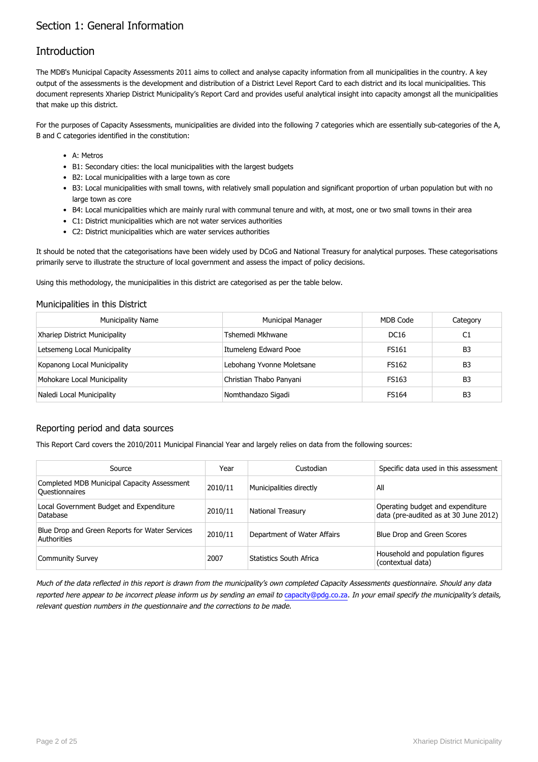## Section 1: General Information

### Introduction

The MDB's Municipal Capacity Assessments 2011 aims to collect and analyse capacity information from all municipalities in the country. A key output of the assessments is the development and distribution of a District Level Report Card to each district and its local municipalities. This document represents Xhariep District Municipality's Report Card and provides useful analytical insight into capacity amongst all the municipalities that make up this district.

For the purposes of Capacity Assessments, municipalities are divided into the following 7 categories which are essentially sub-categories of the A, B and C categories identified in the constitution:

- A: Metros
- B1: Secondary cities: the local municipalities with the largest budgets
- B2: Local municipalities with a large town as core
- B3: Local municipalities with small towns, with relatively small population and significant proportion of urban population but with no large town as core
- B4: Local municipalities which are mainly rural with communal tenure and with, at most, one or two small towns in their area
- C1: District municipalities which are not water services authorities
- C2: District municipalities which are water services authorities

It should be noted that the categorisations have been widely used by DCoG and National Treasury for analytical purposes. These categorisations primarily serve to illustrate the structure of local government and assess the impact of policy decisions.

Using this methodology, the municipalities in this district are categorised as per the table below.

#### Municipalities in this District

| <b>Municipality Name</b>      | <b>Municipal Manager</b>  | MDB Code     | Category       |
|-------------------------------|---------------------------|--------------|----------------|
| Xhariep District Municipality | Tshemedi Mkhwane          | DC16         | C1             |
| Letsemeng Local Municipality  | Itumeleng Edward Pooe     | <b>FS161</b> | B <sub>3</sub> |
| Kopanong Local Municipality   | Lebohang Yvonne Moletsane | <b>FS162</b> | B <sub>3</sub> |
| Mohokare Local Municipality   | Christian Thabo Panyani   | FS163        | B <sub>3</sub> |
| Naledi Local Municipality     | Nomthandazo Sigadi        | <b>FS164</b> | B <sub>3</sub> |

#### Reporting period and data sources

This Report Card covers the 2010/2011 Municipal Financial Year and largely relies on data from the following sources:

| Source                                                               | Year    | Custodian                   | Specific data used in this assessment                                     |
|----------------------------------------------------------------------|---------|-----------------------------|---------------------------------------------------------------------------|
| Completed MDB Municipal Capacity Assessment<br><b>Ouestionnaires</b> | 2010/11 | Municipalities directly     | All                                                                       |
| Local Government Budget and Expenditure<br>Database                  | 2010/11 | <b>National Treasury</b>    | Operating budget and expenditure<br>data (pre-audited as at 30 June 2012) |
| Blue Drop and Green Reports for Water Services<br>Authorities        | 2010/11 | Department of Water Affairs | Blue Drop and Green Scores                                                |
| <b>Community Survey</b>                                              | 2007    | Statistics South Africa     | Household and population figures<br>(contextual data)                     |

Much of the data reflected in this report is drawn from the municipality's own completed Capacity Assessments questionnaire. Should any data reported here appear to be incorrect please inform us by sending an email to [capacity@pdg.co.za](mailto:capacity@pdg.co.za). In your email specify the municipality's details, relevant question numbers in the questionnaire and the corrections to be made.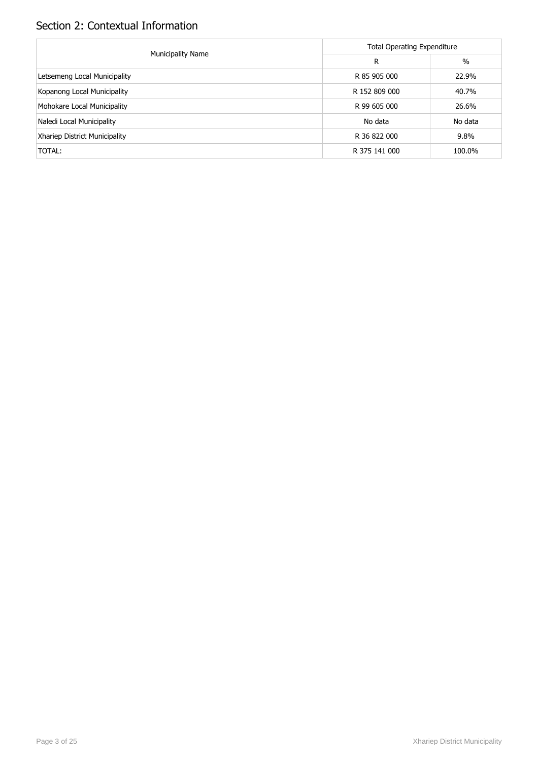## Section 2: Contextual Information

|                               | <b>Total Operating Expenditure</b> |         |  |  |
|-------------------------------|------------------------------------|---------|--|--|
| <b>Municipality Name</b>      | R                                  | $\%$    |  |  |
| Letsemeng Local Municipality  | R 85 905 000                       | 22.9%   |  |  |
| Kopanong Local Municipality   | R 152 809 000                      | 40.7%   |  |  |
| Mohokare Local Municipality   | R 99 605 000                       | 26.6%   |  |  |
| Naledi Local Municipality     | No data                            | No data |  |  |
| Xhariep District Municipality | R 36 822 000                       | 9.8%    |  |  |
| TOTAL:                        | R 375 141 000                      | 100.0%  |  |  |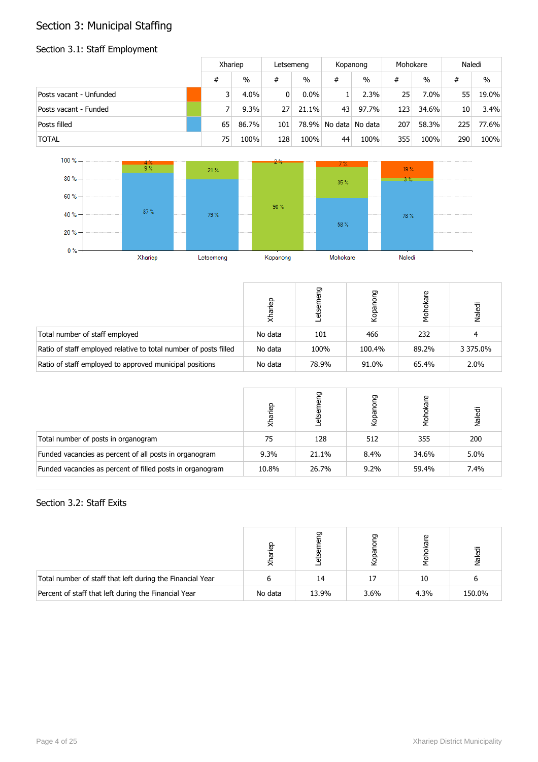## Section 3: Municipal Staffing

# Section 3.1: Staff Employment

|                         |    | Xhariep       |                | Letsemeng     |    | Kopanong              |     | Mohokare |     | Naledi |
|-------------------------|----|---------------|----------------|---------------|----|-----------------------|-----|----------|-----|--------|
|                         | #  | $\frac{0}{0}$ | #              | $\frac{0}{0}$ | #  | $\%$                  | #   | $\%$     | #   | $\%$   |
| Posts vacant - Unfunded | 3  | $4.0\%$       | $\overline{0}$ | $0.0\%$       |    | 2.3%                  | 25  | 7.0%     | 55  | 19.0%  |
| Posts vacant - Funded   |    | 9.3%          | 27             | 21.1%         | 43 | 97.7%                 | 123 | 34.6%    | 10  | 3.4%   |
| Posts filled            | 65 | 86.7%         | 101            |               |    | 78.9% No data No data | 207 | 58.3%    | 225 | 77.6%  |
| <b>TOTAL</b>            | 75 | 100%          | 128            | 100%          | 44 | 100%                  | 355 | 100%     | 290 | 100%   |



|                                                                  | darie   | Έ     | פַ<br>Kopa | ၑ<br>hok | Naledi   |
|------------------------------------------------------------------|---------|-------|------------|----------|----------|
| Total number of staff employed                                   | No data | 101   | 466        | 232      | 4        |
| Ratio of staff employed relative to total number of posts filled | No data | 100%  | 100.4%     | 89.2%    | 3 375.0% |
| Ratio of staff employed to approved municipal positions          | No data | 78.9% | 91.0%      | 65.4%    | 2.0%     |

|                                                           | lariep<br>₹ | రా<br>සි | פַ<br>Kopa | 혿     | Naledi |
|-----------------------------------------------------------|-------------|----------|------------|-------|--------|
| Total number of posts in organogram                       | 75          | 128      | 512        | 355   | 200    |
| Funded vacancies as percent of all posts in organogram    | $9.3\%$     | 21.1%    | 8.4%       | 34.6% | 5.0%   |
| Funded vacancies as percent of filled posts in organogram | 10.8%       | 26.7%    | $9.2\%$    | 59.4% | 7.4%   |

### Section 3.2: Staff Exits

|                                                           | ္ၿခ     |       | ת    |      | Naledi |
|-----------------------------------------------------------|---------|-------|------|------|--------|
| Total number of staff that left during the Financial Year |         | 14    |      | 10   |        |
| Percent of staff that left during the Financial Year      | No data | 13.9% | 3.6% | 4.3% | 150.0% |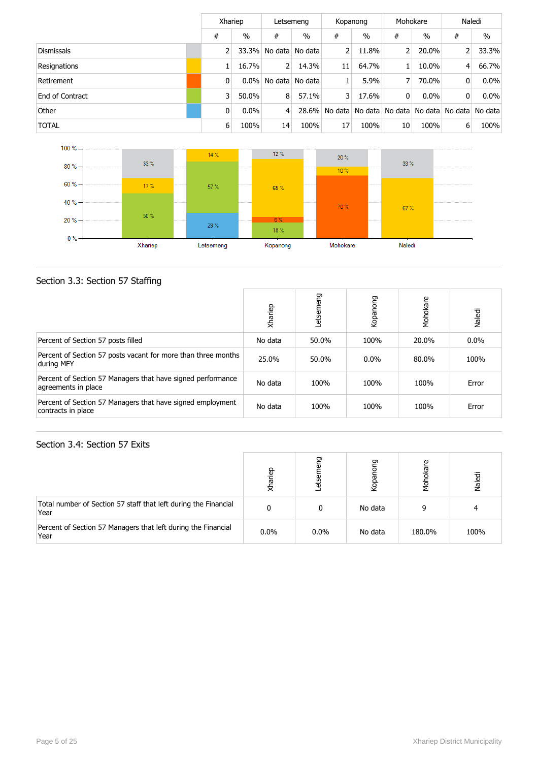|                   |   | Xhariep       |    | Letsemeng         |                | Kopanong                                        |          | Mohokare      |   | Naledi        |
|-------------------|---|---------------|----|-------------------|----------------|-------------------------------------------------|----------|---------------|---|---------------|
|                   | # | $\frac{0}{0}$ | #  | $\%$              | #              | $\frac{0}{0}$                                   | #        | $\frac{0}{0}$ | # | $\frac{0}{0}$ |
| <b>Dismissals</b> |   | 33.3%         |    | No data No data   | $\overline{2}$ | 11.8%                                           | 2        | 20.0%         | 2 | 33.3%         |
| Resignations      |   | 16.7%         | 2  | 14.3%             | 11             | 64.7%                                           |          | 10.0%         | 4 | 66.7%         |
| Retirement        | 0 | $0.0\%$       |    | No data   No data |                | 5.9%                                            | 7        | 70.0%         | 0 | $0.0\%$       |
| End of Contract   | 3 | 50.0%         | 8  | 57.1%             | 3 <sup>1</sup> | 17.6%                                           | $\Omega$ | $0.0\%$       | 0 | $0.0\%$       |
| Other             | 0 | 0.0%          | 4  | $28.6\%$          |                | No data   No data   No data   No data   No data |          |               |   | No data       |
| <b>TOTAL</b>      | 6 | 100%          | 14 | 100%              | 17             | 100%                                            | 10       | 100%          | 6 | 100%          |



### Section 3.3: Section 57 Staffing

|                                                                                    | Xhariep | etsemeng | Kopanong | Mohokare | Naledi  |
|------------------------------------------------------------------------------------|---------|----------|----------|----------|---------|
| Percent of Section 57 posts filled                                                 | No data | 50.0%    | 100%     | 20.0%    | $0.0\%$ |
| Percent of Section 57 posts vacant for more than three months<br>during MFY        | 25.0%   | 50.0%    | $0.0\%$  | 80.0%    | 100%    |
| Percent of Section 57 Managers that have signed performance<br>agreements in place | No data | 100%     | 100%     | 100%     | Error   |
| Percent of Section 57 Managers that have signed employment<br>contracts in place   | No data | 100%     | 100%     | 100%     | Error   |

#### Section 3.4: Section 57 Exits

|                                                                         | 읎       | ᠳ<br>₩  | ᡡ<br>kopai | kare<br>ğ | Naledi |
|-------------------------------------------------------------------------|---------|---------|------------|-----------|--------|
| Total number of Section 57 staff that left during the Financial<br>Year |         |         | No data    | ۵         | ◢      |
| Percent of Section 57 Managers that left during the Financial<br>Year   | $0.0\%$ | $0.0\%$ | No data    | 180.0%    | 100%   |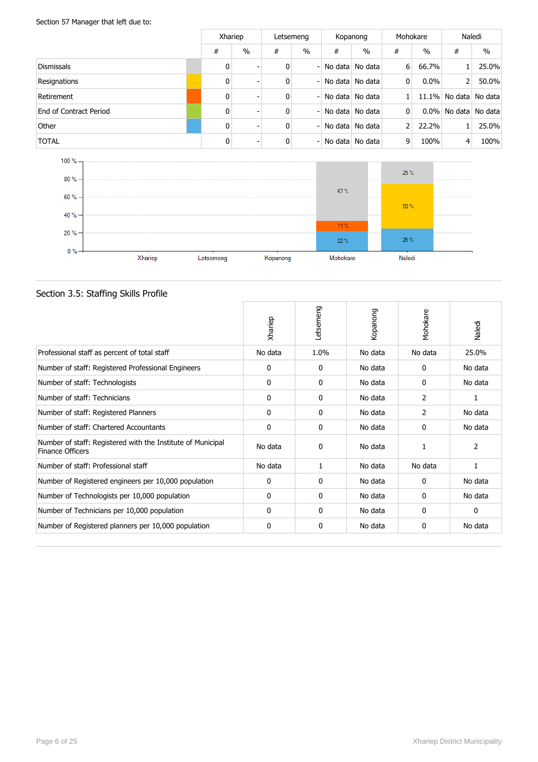Section 57 Manager that left due to:

|                        |              | Xhariep                  |   | Letsemeng                |   | Kopanong        |               | Mohokare |   | Naledi                |  |
|------------------------|--------------|--------------------------|---|--------------------------|---|-----------------|---------------|----------|---|-----------------------|--|
|                        | #            | $\%$                     | # | $\%$                     | # | $\frac{0}{0}$   | #             | $\%$     | # | $\%$                  |  |
| Dismissals             | $\mathbf{0}$ |                          | 0 | - 1                      |   | No data No data | $6 \mid$      | 66.7%    |   | 25.0%                 |  |
| Resignations           | 0            |                          | 0 |                          |   | No data No data | 0             | $0.0\%$  | 2 | 50.0%                 |  |
| Retirement             | $\mathbf{0}$ | -                        | 0 | - 1                      |   | No data No data |               |          |   | 11.1% No data No data |  |
| End of Contract Period | $\mathbf{0}$ | $\overline{\phantom{0}}$ | 0 |                          |   | No data No data | 0             |          |   | 0.0% No data No data  |  |
| Other                  | 0            |                          | 0 | - 1                      |   | No data No data | $\mathcal{P}$ | 22.2%    |   | 25.0%                 |  |
| <b>TOTAL</b>           | $\mathbf{0}$ |                          | 0 | $\overline{\phantom{0}}$ |   | No data No data | 9             | 100%     | 4 | 100%                  |  |



## Section 3.5: Staffing Skills Profile

|                                                                                 | Xhariep      | Letsemeng    | Kopanong | Mohokare | Naledi       |
|---------------------------------------------------------------------------------|--------------|--------------|----------|----------|--------------|
| Professional staff as percent of total staff                                    | No data      | 1.0%         | No data  | No data  | 25.0%        |
| Number of staff: Registered Professional Engineers                              | 0            | 0            | No data  | 0        | No data      |
| Number of staff: Technologists                                                  | 0            | 0            | No data  | 0        | No data      |
| Number of staff: Technicians                                                    | $\mathbf{0}$ | $\mathbf{0}$ | No data  | 2        | 1            |
| Number of staff: Registered Planners                                            | 0            | 0            | No data  | 2        | No data      |
| Number of staff: Chartered Accountants                                          | 0            | 0            | No data  | 0        | No data      |
| Number of staff: Registered with the Institute of Municipal<br>Finance Officers | No data      | $\mathbf{0}$ | No data  |          | 2            |
| Number of staff: Professional staff                                             | No data      | 1            | No data  | No data  | 1            |
| Number of Registered engineers per 10,000 population                            | 0            | 0            | No data  | 0        | No data      |
| Number of Technologists per 10,000 population                                   | 0            | 0            | No data  | 0        | No data      |
| Number of Technicians per 10,000 population                                     | $\Omega$     | 0            | No data  | 0        | $\mathbf{0}$ |
| Number of Registered planners per 10,000 population                             | 0            | 0            | No data  | 0        | No data      |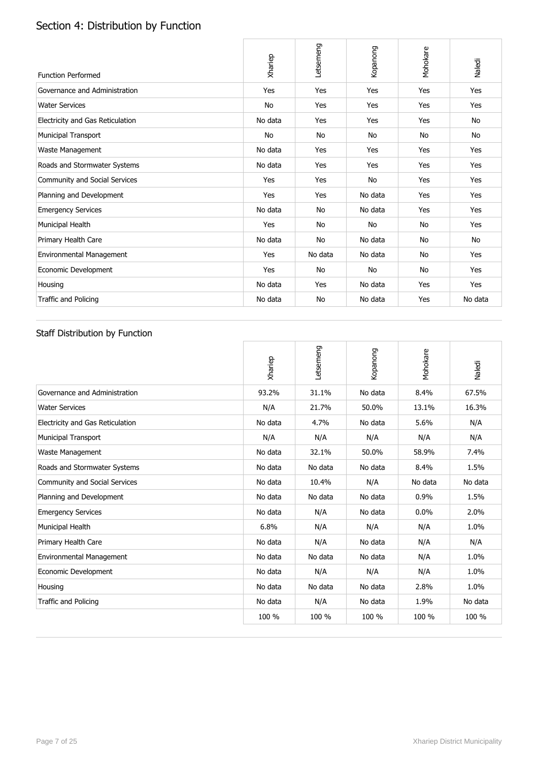# Section 4: Distribution by Function

| <b>Function Performed</b>        | Xhariep | Letsemeng | Kopanong  | Mohokare  | Naledi  |
|----------------------------------|---------|-----------|-----------|-----------|---------|
| Governance and Administration    | Yes     | Yes       | Yes       | Yes       | Yes     |
| <b>Water Services</b>            | No      | Yes       | Yes       | Yes       | Yes     |
| Electricity and Gas Reticulation | No data | Yes       | Yes       | Yes       | No      |
| <b>Municipal Transport</b>       | No      | <b>No</b> | No        | <b>No</b> | No      |
| Waste Management                 | No data | Yes       | Yes       | Yes       | Yes     |
| Roads and Stormwater Systems     | No data | Yes       | Yes       | Yes       | Yes     |
| Community and Social Services    | Yes     | Yes       | <b>No</b> | Yes       | Yes     |
| Planning and Development         | Yes     | Yes       | No data   | Yes       | Yes     |
| <b>Emergency Services</b>        | No data | No        | No data   | Yes       | Yes     |
| Municipal Health                 | Yes     | No        | No        | No        | Yes     |
| Primary Health Care              | No data | No        | No data   | No        | No      |
| Environmental Management         | Yes     | No data   | No data   | No        | Yes     |
| Economic Development             | Yes     | <b>No</b> | No        | <b>No</b> | Yes     |
| Housing                          | No data | Yes       | No data   | Yes       | Yes     |
| <b>Traffic and Policing</b>      | No data | No        | No data   | Yes       | No data |

### Staff Distribution by Function

|                                  | Xhariep | Letsemeng | Kopanong | Mohokare | Naledi  |
|----------------------------------|---------|-----------|----------|----------|---------|
| Governance and Administration    | 93.2%   | 31.1%     | No data  | 8.4%     | 67.5%   |
| <b>Water Services</b>            | N/A     | 21.7%     | 50.0%    | 13.1%    | 16.3%   |
| Electricity and Gas Reticulation | No data | 4.7%      | No data  | 5.6%     | N/A     |
| <b>Municipal Transport</b>       | N/A     | N/A       | N/A      | N/A      | N/A     |
| Waste Management                 | No data | 32.1%     | 50.0%    | 58.9%    | 7.4%    |
| Roads and Stormwater Systems     | No data | No data   | No data  | 8.4%     | 1.5%    |
| Community and Social Services    | No data | 10.4%     | N/A      | No data  | No data |
| Planning and Development         | No data | No data   | No data  | 0.9%     | 1.5%    |
| <b>Emergency Services</b>        | No data | N/A       | No data  | 0.0%     | 2.0%    |
| Municipal Health                 | 6.8%    | N/A       | N/A      | N/A      | 1.0%    |
| Primary Health Care              | No data | N/A       | No data  | N/A      | N/A     |
| <b>Environmental Management</b>  | No data | No data   | No data  | N/A      | 1.0%    |
| Economic Development             | No data | N/A       | N/A      | N/A      | 1.0%    |
| Housing                          | No data | No data   | No data  | 2.8%     | 1.0%    |
| <b>Traffic and Policing</b>      | No data | N/A       | No data  | 1.9%     | No data |
|                                  | 100 %   | 100 %     | 100 %    | 100 %    | 100 %   |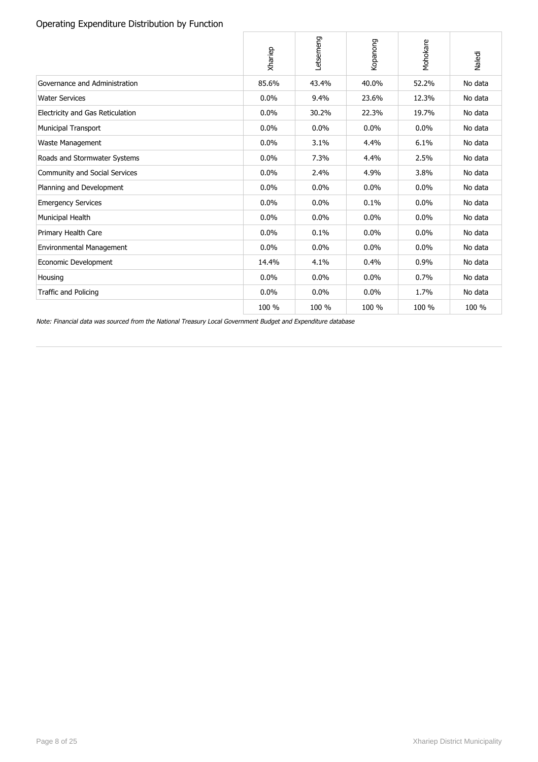#### Operating Expenditure Distribution by Function

|                                                                                                              | Xhariep | Letsemeng | Kopanong | Mohokare | Naledi  |
|--------------------------------------------------------------------------------------------------------------|---------|-----------|----------|----------|---------|
| Governance and Administration                                                                                | 85.6%   | 43.4%     | 40.0%    | 52.2%    | No data |
| <b>Water Services</b>                                                                                        | 0.0%    | 9.4%      | 23.6%    | 12.3%    | No data |
| Electricity and Gas Reticulation                                                                             | 0.0%    | 30.2%     | 22.3%    | 19.7%    | No data |
| Municipal Transport                                                                                          | 0.0%    | 0.0%      | 0.0%     | 0.0%     | No data |
| Waste Management                                                                                             | 0.0%    | 3.1%      | 4.4%     | 6.1%     | No data |
| Roads and Stormwater Systems                                                                                 | 0.0%    | 7.3%      | 4.4%     | 2.5%     | No data |
| Community and Social Services                                                                                | 0.0%    | 2.4%      | 4.9%     | 3.8%     | No data |
| Planning and Development                                                                                     | 0.0%    | 0.0%      | 0.0%     | 0.0%     | No data |
| <b>Emergency Services</b>                                                                                    | 0.0%    | 0.0%      | 0.1%     | 0.0%     | No data |
| Municipal Health                                                                                             | 0.0%    | 0.0%      | 0.0%     | 0.0%     | No data |
| Primary Health Care                                                                                          | 0.0%    | 0.1%      | 0.0%     | 0.0%     | No data |
| Environmental Management                                                                                     | 0.0%    | 0.0%      | $0.0\%$  | $0.0\%$  | No data |
| Economic Development                                                                                         | 14.4%   | 4.1%      | 0.4%     | 0.9%     | No data |
| Housing                                                                                                      | 0.0%    | 0.0%      | 0.0%     | 0.7%     | No data |
| <b>Traffic and Policing</b>                                                                                  | 0.0%    | 0.0%      | 0.0%     | 1.7%     | No data |
|                                                                                                              | 100 %   | 100 %     | 100 %    | 100 %    | 100 %   |
| Note: Financial data was sourced from the National Treasury Local Government Budget and Expenditure database |         |           |          |          |         |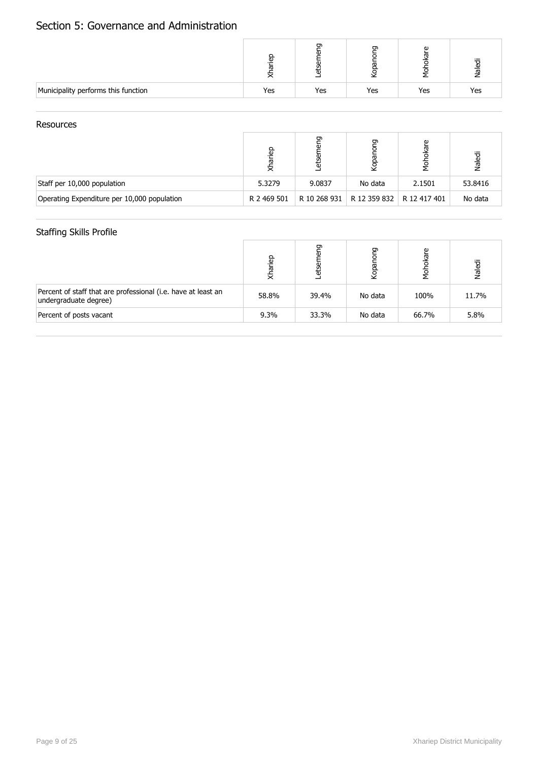## Section 5: Governance and Administration

|                                     |     | ה   | ה   | ω<br>ᢐ | Naledi |
|-------------------------------------|-----|-----|-----|--------|--------|
| Municipality performs this function | Yes | Yes | Yes | Yes    | Yes    |

#### **Resources**

|                                             | မ္မ         | ᡡ            | ᡡ<br>kopai   | စ္<br>ख़<br>힣 | Naledi  |
|---------------------------------------------|-------------|--------------|--------------|---------------|---------|
| Staff per 10,000 population                 | 5.3279      | 9.0837       | No data      | 2.1501        | 53.8416 |
| Operating Expenditure per 10,000 population | R 2 469 501 | R 10 268 931 | R 12 359 832 | R 12 417 401  | No data |

#### Staffing Skills Profile

|                                                                                        | lariep<br>₹. | ᡡ<br>Φ<br>₩ | פַ<br>Kopar | okare<br>λ<br>Σ | Naledi |
|----------------------------------------------------------------------------------------|--------------|-------------|-------------|-----------------|--------|
| Percent of staff that are professional (i.e. have at least an<br>undergraduate degree) | 58.8%        | 39.4%       | No data     | 100%            | 11.7%  |
| Percent of posts vacant                                                                | 9.3%         | 33.3%       | No data     | 66.7%           | 5.8%   |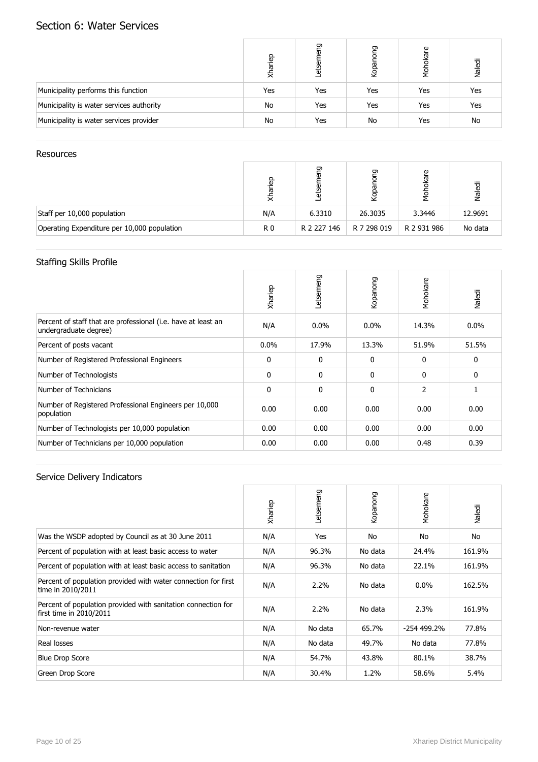## Section 6: Water Services

|                                          | Xhariep | פַ<br>កា<br>etser | <b>Duo</b><br>Kopa | okare<br>Мб<br>Мо | Naledi |
|------------------------------------------|---------|-------------------|--------------------|-------------------|--------|
| Municipality performs this function      | Yes     | Yes               | Yes                | Yes               | Yes    |
| Municipality is water services authority | No      | Yes               | Yes                | Yes               | Yes    |
| Municipality is water services provider  | No      | Yes               | No                 | Yes               | No     |

#### **Resources**

|                                             | <u>a</u><br>등  | ᡡ<br>ω<br>τ | ה<br>₫      | پ<br>ख़ें<br>η<br>Σ | Naledi  |
|---------------------------------------------|----------------|-------------|-------------|---------------------|---------|
| Staff per 10,000 population                 | N/A            | 6.3310      | 26.3035     | 3.3446              | 12.9691 |
| Operating Expenditure per 10,000 population | R <sub>0</sub> | R 2 227 146 | R 7 298 019 | R 2 931 986         | No data |

#### Staffing Skills Profile

|                                                                                        | Xhariep      | Letsemeng    | Kopanong     | Mohokare       | Naledi  |
|----------------------------------------------------------------------------------------|--------------|--------------|--------------|----------------|---------|
| Percent of staff that are professional (i.e. have at least an<br>undergraduate degree) | N/A          | $0.0\%$      | $0.0\%$      | 14.3%          | $0.0\%$ |
| Percent of posts vacant                                                                | $0.0\%$      | 17.9%        | 13.3%        | 51.9%          | 51.5%   |
| Number of Registered Professional Engineers                                            | 0            | 0            | 0            | $\mathbf{0}$   | 0       |
| Number of Technologists                                                                | $\Omega$     | $\mathbf{0}$ | $\mathbf{0}$ | $\mathbf{0}$   | 0       |
| Number of Technicians                                                                  | $\mathbf{0}$ | $\mathbf{0}$ | $\mathbf{0}$ | $\overline{2}$ | 1       |
| Number of Registered Professional Engineers per 10,000<br>population                   | 0.00         | 0.00         | 0.00         | 0.00           | 0.00    |
| Number of Technologists per 10,000 population                                          | 0.00         | 0.00         | 0.00         | 0.00           | 0.00    |
| Number of Technicians per 10,000 population                                            | 0.00         | 0.00         | 0.00         | 0.48           | 0.39    |

|                                                                                          | Xhariep | Letsemeng | Kopanong | Mohokare     | Naledi |
|------------------------------------------------------------------------------------------|---------|-----------|----------|--------------|--------|
| Was the WSDP adopted by Council as at 30 June 2011                                       | N/A     | Yes       | No       | No           | No     |
| Percent of population with at least basic access to water                                | N/A     | 96.3%     | No data  | 24.4%        | 161.9% |
| Percent of population with at least basic access to sanitation                           | N/A     | 96.3%     | No data  | 22.1%        | 161.9% |
| Percent of population provided with water connection for first<br>time in 2010/2011      | N/A     | $2.2\%$   | No data  | $0.0\%$      | 162.5% |
| Percent of population provided with sanitation connection for<br>first time in 2010/2011 | N/A     | 2.2%      | No data  | 2.3%         | 161.9% |
| Non-revenue water                                                                        | N/A     | No data   | 65.7%    | $-254499.2%$ | 77.8%  |
| Real losses                                                                              | N/A     | No data   | 49.7%    | No data      | 77.8%  |
| <b>Blue Drop Score</b>                                                                   | N/A     | 54.7%     | 43.8%    | 80.1%        | 38.7%  |
| Green Drop Score                                                                         | N/A     | 30.4%     | 1.2%     | 58.6%        | 5.4%   |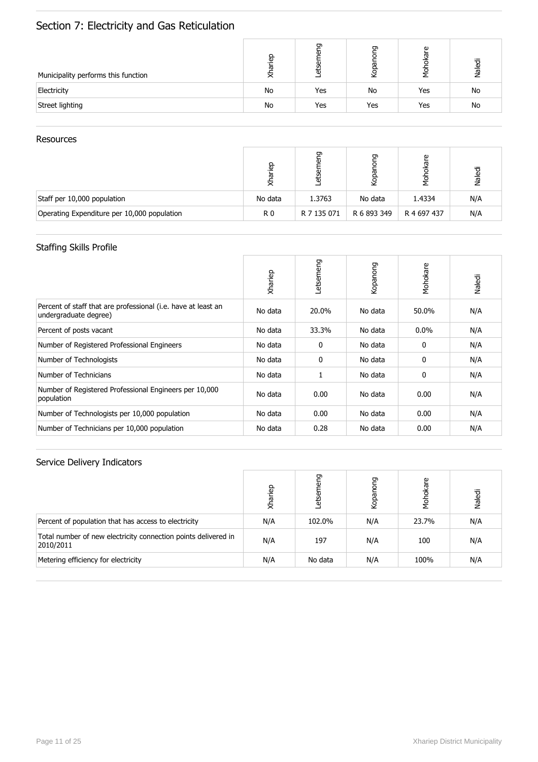# Section 7: Electricity and Gas Reticulation

| Municipality performs this function | ep.<br>ಹ<br>⋝ | ᡡ<br>ω<br>σ | ה   | Φ<br>ख़ | Naledi |
|-------------------------------------|---------------|-------------|-----|---------|--------|
| Electricity                         | No            | Yes         | No  | Yes     | No     |
| Street lighting                     | No            | Yes         | Yes | Yes     | No     |

#### Resources

|                                             | <u>a</u> | ᠳ<br>늉      | פַ<br>Kopar | ၑ<br>ថ្     | Naledi |
|---------------------------------------------|----------|-------------|-------------|-------------|--------|
| Staff per 10,000 population                 | No data  | 1.3763      | No data     | 1.4334      | N/A    |
| Operating Expenditure per 10,000 population | R0       | R 7 135 071 | R 6 893 349 | R 4 697 437 | N/A    |

### Staffing Skills Profile

|                                                                                        | Xhariep | Letsemeng | Kopanong | Mohokare | Naledi |
|----------------------------------------------------------------------------------------|---------|-----------|----------|----------|--------|
| Percent of staff that are professional (i.e. have at least an<br>undergraduate degree) | No data | 20.0%     | No data  | 50.0%    | N/A    |
| Percent of posts vacant                                                                | No data | 33.3%     | No data  | $0.0\%$  | N/A    |
| Number of Registered Professional Engineers                                            | No data | 0         | No data  | 0        | N/A    |
| Number of Technologists                                                                | No data | 0         | No data  | 0        | N/A    |
| Number of Technicians                                                                  | No data |           | No data  | 0        | N/A    |
| Number of Registered Professional Engineers per 10,000<br>population                   | No data | 0.00      | No data  | 0.00     | N/A    |
| Number of Technologists per 10,000 population                                          | No data | 0.00      | No data  | 0.00     | N/A    |
| Number of Technicians per 10,000 population                                            | No data | 0.28      | No data  | 0.00     | N/A    |

|                                                                             | Xhariep | פַ<br>etser | ρng<br>Kopano | Mohokare | Naledi |
|-----------------------------------------------------------------------------|---------|-------------|---------------|----------|--------|
| Percent of population that has access to electricity                        | N/A     | 102.0%      | N/A           | 23.7%    | N/A    |
| Total number of new electricity connection points delivered in<br>2010/2011 | N/A     | 197         | N/A           | 100      | N/A    |
| Metering efficiency for electricity                                         | N/A     | No data     | N/A           | 100%     | N/A    |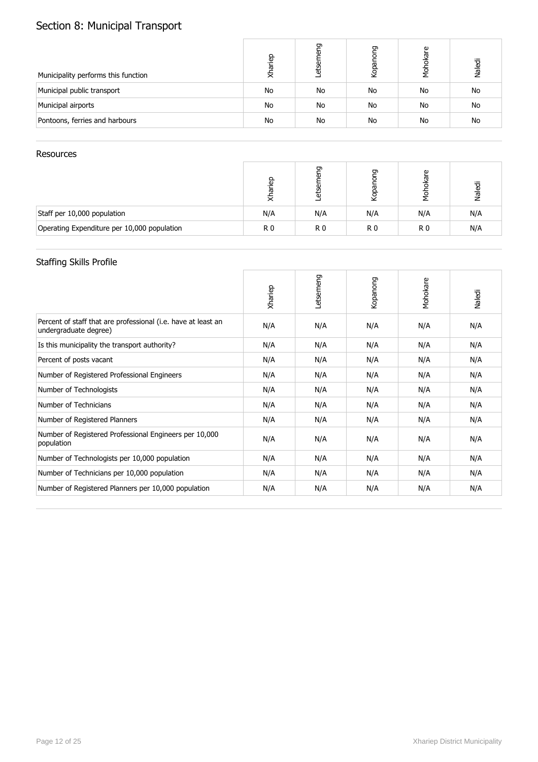# Section 8: Municipal Transport

| Municipality performs this function | Xhariep | ᠳ<br>etser | 50<br>ਠ<br>Kopar | okare<br>λ,<br>Σ | Naledi |
|-------------------------------------|---------|------------|------------------|------------------|--------|
| Municipal public transport          | No      | No         | No               | No               | No     |
| Municipal airports                  | No      | No         | No               | No               | No     |
| Pontoons, ferries and harbours      | No      | No         | No               | No               | No     |

#### Resources

|                                             | e.<br>ᢛ | ᡡ   | ᡡ<br>Kopar | Φ   | Naledi |
|---------------------------------------------|---------|-----|------------|-----|--------|
| Staff per 10,000 population                 | N/A     | N/A | N/A        | N/A | N/A    |
| Operating Expenditure per 10,000 population | R0      | R0  | R0         | R0  | N/A    |

#### Staffing Skills Profile

|                                                                                        | Xhariep | Letsemeng | Kopanong | Mohokare | Naledi |
|----------------------------------------------------------------------------------------|---------|-----------|----------|----------|--------|
| Percent of staff that are professional (i.e. have at least an<br>undergraduate degree) | N/A     | N/A       | N/A      | N/A      | N/A    |
| Is this municipality the transport authority?                                          | N/A     | N/A       | N/A      | N/A      | N/A    |
| Percent of posts vacant                                                                | N/A     | N/A       | N/A      | N/A      | N/A    |
| Number of Registered Professional Engineers                                            | N/A     | N/A       | N/A      | N/A      | N/A    |
| Number of Technologists                                                                | N/A     | N/A       | N/A      | N/A      | N/A    |
| Number of Technicians                                                                  | N/A     | N/A       | N/A      | N/A      | N/A    |
| Number of Registered Planners                                                          | N/A     | N/A       | N/A      | N/A      | N/A    |
| Number of Registered Professional Engineers per 10,000<br>population                   | N/A     | N/A       | N/A      | N/A      | N/A    |
| Number of Technologists per 10,000 population                                          | N/A     | N/A       | N/A      | N/A      | N/A    |
| Number of Technicians per 10,000 population                                            | N/A     | N/A       | N/A      | N/A      | N/A    |
| Number of Registered Planners per 10,000 population                                    | N/A     | N/A       | N/A      | N/A      | N/A    |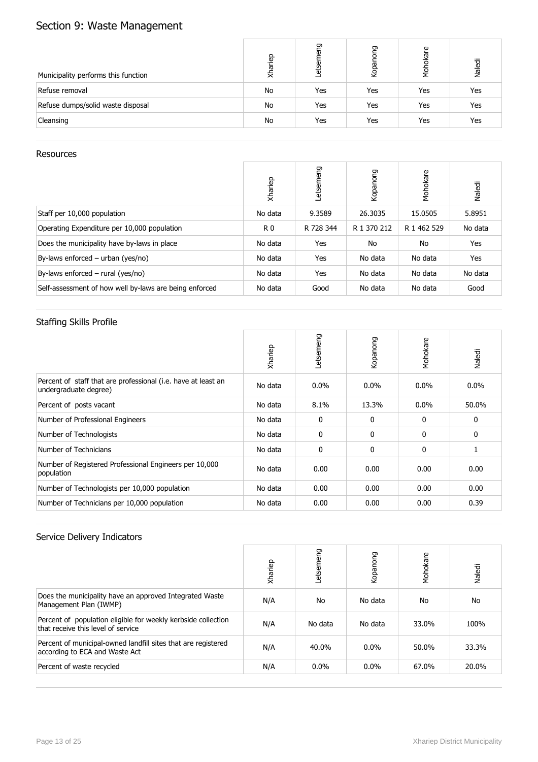# Section 9: Waste Management

| Municipality performs this function | Xhariep | ᡡ<br>৯<br>etser | <b>Duo</b><br>Kopar | kare<br>ਠ<br>λ<br>Σ | Naledi |
|-------------------------------------|---------|-----------------|---------------------|---------------------|--------|
| Refuse removal                      | No      | Yes             | Yes                 | Yes                 | Yes    |
| Refuse dumps/solid waste disposal   | No      | Yes             | Yes                 | Yes                 | Yes    |
| Cleansing                           | No      | Yes             | Yes                 | Yes                 | Yes    |

#### **Resources**

|                                                        | Xhariep        | etsemeng  | Kopanong    | Mohokare    | Naledi  |
|--------------------------------------------------------|----------------|-----------|-------------|-------------|---------|
| Staff per 10,000 population                            | No data        | 9.3589    | 26.3035     | 15.0505     | 5.8951  |
| Operating Expenditure per 10,000 population            | R <sub>0</sub> | R 728 344 | R 1 370 212 | R 1 462 529 | No data |
| Does the municipality have by-laws in place            | No data        | Yes       | No          | No          | Yes     |
| By-laws enforced $-$ urban (yes/no)                    | No data        | Yes       | No data     | No data     | Yes     |
| By-laws enforced $-$ rural (yes/no)                    | No data        | Yes       | No data     | No data     | No data |
| Self-assessment of how well by-laws are being enforced | No data        | Good      | No data     | No data     | Good    |

### Staffing Skills Profile

|                                                                                        | Xhariep | Letsemeng    | Kopanong     | Mohokare | Naledi  |
|----------------------------------------------------------------------------------------|---------|--------------|--------------|----------|---------|
| Percent of staff that are professional (i.e. have at least an<br>undergraduate degree) | No data | $0.0\%$      | $0.0\%$      | $0.0\%$  | $0.0\%$ |
| Percent of posts vacant                                                                | No data | 8.1%         | 13.3%        | $0.0\%$  | 50.0%   |
| Number of Professional Engineers                                                       | No data | $\mathbf{0}$ | $\Omega$     | 0        | 0       |
| Number of Technologists                                                                | No data | $\mathbf{0}$ | $\mathbf{0}$ | 0        | 0       |
| Number of Technicians                                                                  | No data | 0            | $\mathbf{0}$ | 0        | 1       |
| Number of Registered Professional Engineers per 10,000<br>population                   | No data | 0.00         | 0.00         | 0.00     | 0.00    |
| Number of Technologists per 10,000 population                                          | No data | 0.00         | 0.00         | 0.00     | 0.00    |
| Number of Technicians per 10,000 population                                            | No data | 0.00         | 0.00         | 0.00     | 0.39    |

|                                                                                                     | Xhariep | etsemeng  | Kopanong | Mohokare | Naledi |
|-----------------------------------------------------------------------------------------------------|---------|-----------|----------|----------|--------|
| Does the municipality have an approved Integrated Waste<br>Management Plan (IWMP)                   | N/A     | <b>No</b> | No data  | No.      | No     |
| Percent of population eligible for weekly kerbside collection<br>that receive this level of service | N/A     | No data   | No data  | 33.0%    | 100%   |
| Percent of municipal-owned landfill sites that are registered<br>according to ECA and Waste Act     | N/A     | 40.0%     | $0.0\%$  | 50.0%    | 33.3%  |
| Percent of waste recycled                                                                           | N/A     | $0.0\%$   | $0.0\%$  | 67.0%    | 20.0%  |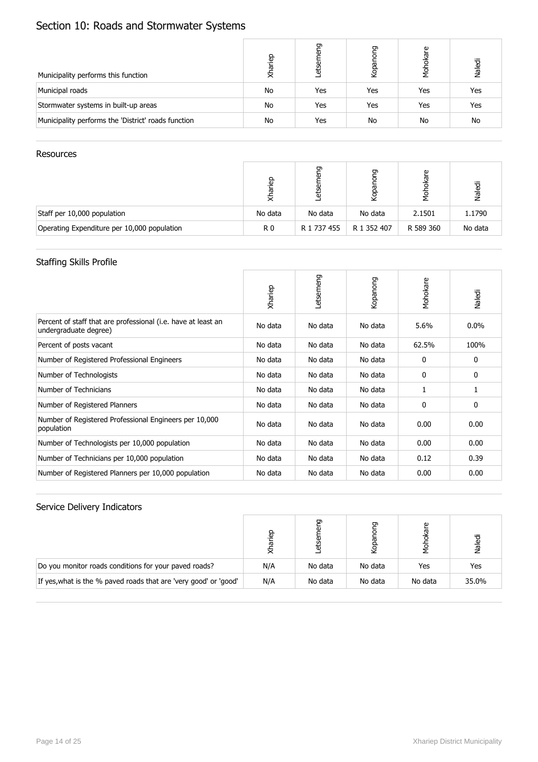# Section 10: Roads and Stormwater Systems

| Municipality performs this function                 | Xhariep | פַי<br>etser | פַ<br>Kopa | okare<br>ð<br>No | Naledi |
|-----------------------------------------------------|---------|--------------|------------|------------------|--------|
| Municipal roads                                     | No      | Yes          | Yes        | Yes              | Yes    |
| Stormwater systems in built-up areas                | No      | Yes          | Yes        | Yes              | Yes    |
| Municipality performs the 'District' roads function | No      | Yes          | No         | No               | No     |

#### Resources

|                                             | မြ<br>ㅎ        | ᡡ<br>G)<br>ω<br>₩ | פַ<br>Kopai | پ<br><u>ति</u><br>y<br>S | Naledi  |
|---------------------------------------------|----------------|-------------------|-------------|--------------------------|---------|
| Staff per 10,000 population                 | No data        | No data           | No data     | 2.1501                   | 1.1790  |
| Operating Expenditure per 10,000 population | R <sub>0</sub> | R 1 737 455       | R 1 352 407 | R 589 360                | No data |

#### Staffing Skills Profile

|                                                                                        | Xhariep | Letsemeng | Kopanong | Mohokare | Naledi  |
|----------------------------------------------------------------------------------------|---------|-----------|----------|----------|---------|
| Percent of staff that are professional (i.e. have at least an<br>undergraduate degree) | No data | No data   | No data  | 5.6%     | $0.0\%$ |
| Percent of posts vacant                                                                | No data | No data   | No data  | 62.5%    | 100%    |
| Number of Registered Professional Engineers                                            | No data | No data   | No data  | 0        | 0       |
| Number of Technologists                                                                | No data | No data   | No data  | 0        | 0       |
| Number of Technicians                                                                  | No data | No data   | No data  | 1        | 1       |
| Number of Registered Planners                                                          | No data | No data   | No data  | 0        | 0       |
| Number of Registered Professional Engineers per 10,000<br>population                   | No data | No data   | No data  | 0.00     | 0.00    |
| Number of Technologists per 10,000 population                                          | No data | No data   | No data  | 0.00     | 0.00    |
| Number of Technicians per 10,000 population                                            | No data | No data   | No data  | 0.12     | 0.39    |
| Number of Registered Planners per 10,000 population                                    | No data | No data   | No data  | 0.00     | 0.00    |

|                                                                  | ္ၿခ |         | రా      | ω<br>흥  | Valedi |
|------------------------------------------------------------------|-----|---------|---------|---------|--------|
| Do you monitor roads conditions for your paved roads?            | N/A | No data | No data | Yes     | Yes    |
| If yes, what is the % paved roads that are 'very good' or 'good' | N/A | No data | No data | No data | 35.0%  |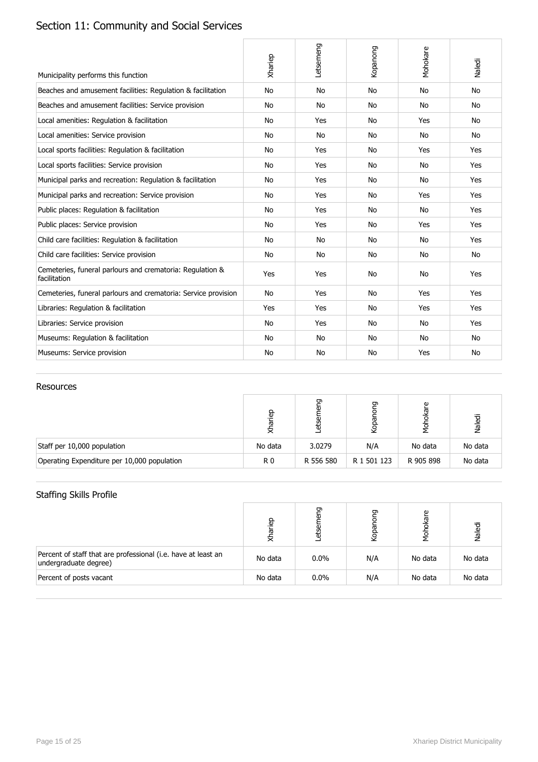# Section 11: Community and Social Services

| Municipality performs this function                                       | Xhariep | Letsemeng | Kopanong  | Mohokare  | Naledi    |
|---------------------------------------------------------------------------|---------|-----------|-----------|-----------|-----------|
| Beaches and amusement facilities: Regulation & facilitation               | No      | <b>No</b> | <b>No</b> | No        | <b>No</b> |
| Beaches and amusement facilities: Service provision                       | No      | <b>No</b> | <b>No</b> | No        | <b>No</b> |
| Local amenities: Regulation & facilitation                                | No      | Yes       | No        | Yes       | No        |
| Local amenities: Service provision                                        | No      | No        | No        | No        | No        |
| Local sports facilities: Regulation & facilitation                        | No      | Yes       | <b>No</b> | Yes       | Yes       |
| Local sports facilities: Service provision                                | No      | Yes       | No        | No        | Yes       |
| Municipal parks and recreation: Regulation & facilitation                 | No      | Yes       | No        | No        | Yes       |
| Municipal parks and recreation: Service provision                         | No      | Yes       | No        | Yes       | Yes       |
| Public places: Regulation & facilitation                                  | No      | Yes       | No        | No        | Yes       |
| Public places: Service provision                                          | No      | Yes       | No        | Yes       | Yes       |
| Child care facilities: Regulation & facilitation                          | No      | <b>No</b> | <b>No</b> | No        | Yes       |
| Child care facilities: Service provision                                  | No      | No        | No        | No        | No        |
| Cemeteries, funeral parlours and crematoria: Regulation &<br>facilitation | Yes     | Yes       | No        | No        | Yes       |
| Cemeteries, funeral parlours and crematoria: Service provision            | No      | Yes       | No        | Yes       | Yes       |
| Libraries: Regulation & facilitation                                      | Yes     | Yes       | No        | Yes       | Yes       |
| Libraries: Service provision                                              | No      | Yes       | No        | No        | Yes       |
| Museums: Regulation & facilitation                                        | No      | <b>No</b> | No        | <b>No</b> | <b>No</b> |
| Museums: Service provision                                                | No      | <b>No</b> | No        | Yes       | No        |

#### Resources

|                                             | dən<br>≅ | ᠳ<br>ō<br>etā | פַ<br>Kopar | are       | Naledi  |
|---------------------------------------------|----------|---------------|-------------|-----------|---------|
| Staff per 10,000 population                 | No data  | 3.0279        | N/A         | No data   | No data |
| Operating Expenditure per 10,000 population | R0       | R 556 580     | R 1 501 123 | R 905 898 | No data |

## Staffing Skills Profile

|                                                                                        | qarian  | ᠳ<br>άυ | ጋ<br>Kopar | okare<br>Мо<br>Мо | Naledi  |
|----------------------------------------------------------------------------------------|---------|---------|------------|-------------------|---------|
| Percent of staff that are professional (i.e. have at least an<br>undergraduate degree) | No data | $0.0\%$ | N/A        | No data           | No data |
| Percent of posts vacant                                                                | No data | $0.0\%$ | N/A        | No data           | No data |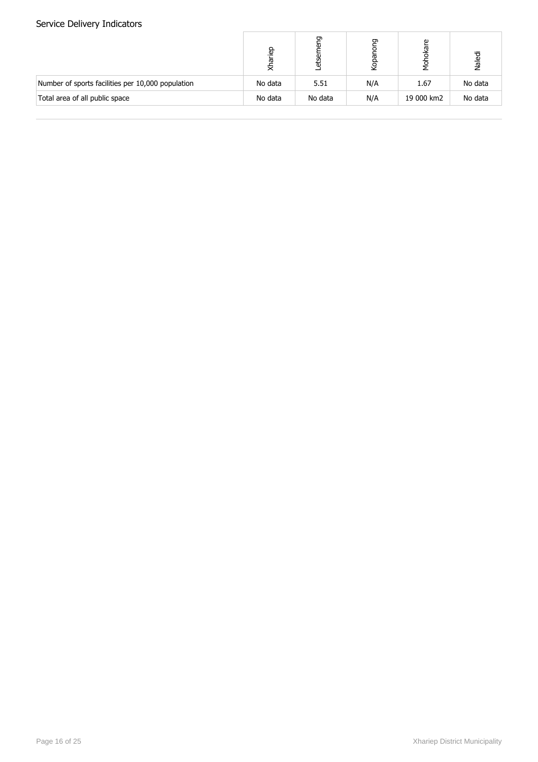|                                                   | qariep<br>₹ | ᡡ<br>ω<br>άυ | פַ<br>Kopar | Φ<br>Мо<br>Мо | Naledi  |
|---------------------------------------------------|-------------|--------------|-------------|---------------|---------|
| Number of sports facilities per 10,000 population | No data     | 5.51         | N/A         | 1.67          | No data |
| Total area of all public space                    | No data     | No data      | N/A         | 19 000 km2    | No data |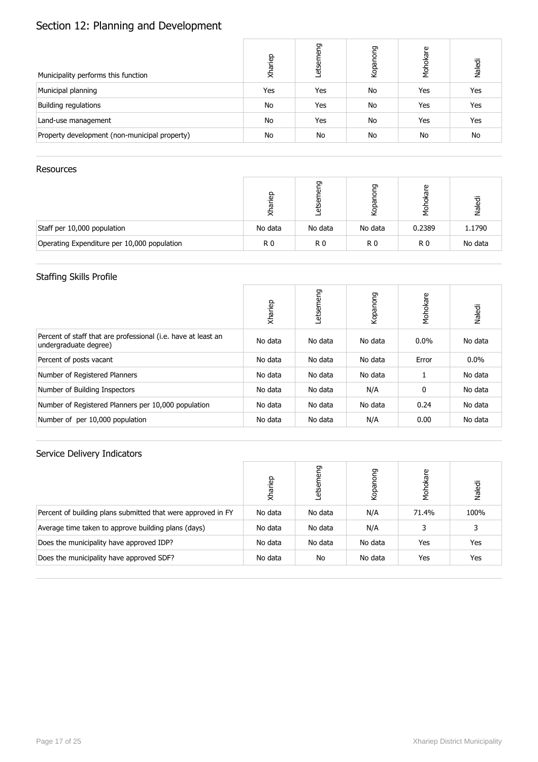# Section 12: Planning and Development

| Municipality performs this function           | Xhariep | eng<br>etsen | Kopanong | Mohokare | Naledi |
|-----------------------------------------------|---------|--------------|----------|----------|--------|
| Municipal planning                            | Yes     | Yes          | No       | Yes      | Yes    |
| Building regulations                          | No      | Yes          | No       | Yes      | Yes    |
| Land-use management                           | No      | Yes          | No       | Yes      | Yes    |
| Property development (non-municipal property) | No      | No           | No       | No       | No     |

#### Resources

|                                             | 윤<br>ᢛ<br>₹. | ᡡ<br>₩  | ⊙       | Φ      | Naledi  |
|---------------------------------------------|--------------|---------|---------|--------|---------|
| Staff per 10,000 population                 | No data      | No data | No data | 0.2389 | 1.1790  |
| Operating Expenditure per 10,000 population | R0           | R0      | R0      | R0     | No data |

### Staffing Skills Profile

|                                                                                        | Xhariep | etsemeng | Kopanong | Mohokare | Naledi  |
|----------------------------------------------------------------------------------------|---------|----------|----------|----------|---------|
| Percent of staff that are professional (i.e. have at least an<br>undergraduate degree) | No data | No data  | No data  | $0.0\%$  | No data |
| Percent of posts vacant                                                                | No data | No data  | No data  | Error    | 0.0%    |
| Number of Registered Planners                                                          | No data | No data  | No data  |          | No data |
| Number of Building Inspectors                                                          | No data | No data  | N/A      | 0        | No data |
| Number of Registered Planners per 10,000 population                                    | No data | No data  | No data  | 0.24     | No data |
| Number of per 10,000 population                                                        | No data | No data  | N/A      | 0.00     | No data |

|                                                              | Xhariep | 55<br>etser | guo<br>Kopano | Mohokare | Naledi |
|--------------------------------------------------------------|---------|-------------|---------------|----------|--------|
| Percent of building plans submitted that were approved in FY | No data | No data     | N/A           | 71.4%    | 100%   |
| Average time taken to approve building plans (days)          | No data | No data     | N/A           | 3        | 3      |
| Does the municipality have approved IDP?                     | No data | No data     | No data       | Yes      | Yes    |
| Does the municipality have approved SDF?                     | No data | No          | No data       | Yes      | Yes    |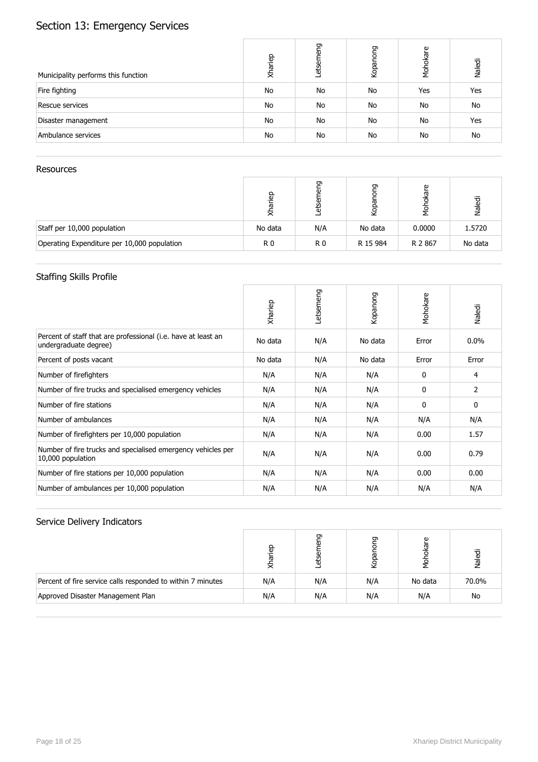# Section 13: Emergency Services

| Municipality performs this function | Xhariep | neng<br>etsen | puo<br>Kopano | Mohokare  | Naledi    |
|-------------------------------------|---------|---------------|---------------|-----------|-----------|
| Fire fighting                       | No      | No            | No            | Yes       | Yes       |
| Rescue services                     | No      | No            | No            | No        | No        |
| Disaster management                 | No      | No            | No            | <b>No</b> | Yes       |
| Ambulance services                  | No      | <b>No</b>     | No            | No        | <b>No</b> |

#### Resources

|                                             | 윤<br>ᢛ<br>₹ | ᡡ<br>ъ         | G        | Φ      | Naledi  |
|---------------------------------------------|-------------|----------------|----------|--------|---------|
| Staff per 10,000 population                 | No data     | N/A            | No data  | 0.0000 | 1.5720  |
| Operating Expenditure per 10,000 population | R0          | R <sub>0</sub> | R 15 984 | R 2867 | No data |

## Staffing Skills Profile

|                                                                                        | Xhariep | Letsemeng | Kopanong | Mohokare | Naledi  |
|----------------------------------------------------------------------------------------|---------|-----------|----------|----------|---------|
| Percent of staff that are professional (i.e. have at least an<br>undergraduate degree) | No data | N/A       | No data  | Error    | $0.0\%$ |
| Percent of posts vacant                                                                | No data | N/A       | No data  | Error    | Error   |
| Number of firefighters                                                                 | N/A     | N/A       | N/A      | 0        | 4       |
| Number of fire trucks and specialised emergency vehicles                               | N/A     | N/A       | N/A      | 0        | 2       |
| Number of fire stations                                                                | N/A     | N/A       | N/A      | 0        | 0       |
| Number of ambulances                                                                   | N/A     | N/A       | N/A      | N/A      | N/A     |
| Number of firefighters per 10,000 population                                           | N/A     | N/A       | N/A      | 0.00     | 1.57    |
| Number of fire trucks and specialised emergency vehicles per<br>10,000 population      | N/A     | N/A       | N/A      | 0.00     | 0.79    |
| Number of fire stations per 10,000 population                                          | N/A     | N/A       | N/A      | 0.00     | 0.00    |
| Number of ambulances per 10,000 population                                             | N/A     | N/A       | N/A      | N/A      | N/A     |

|                                                             | €   | ᠳ   | ה   | Φ       | Naledi |
|-------------------------------------------------------------|-----|-----|-----|---------|--------|
| Percent of fire service calls responded to within 7 minutes | N/A | N/A | N/A | No data | 70.0%  |
| Approved Disaster Management Plan                           | N/A | N/A | N/A | N/A     | No     |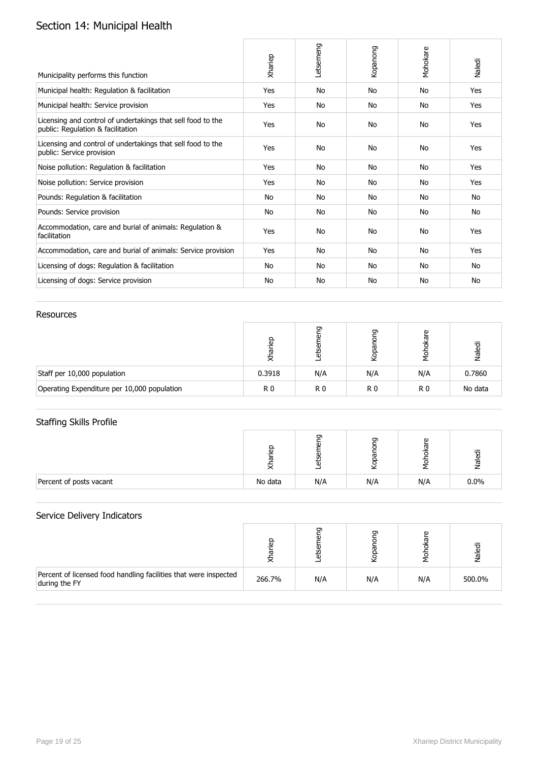# Section 14: Municipal Health

| Municipality performs this function                                                              | Xhariep | Letsemeng | Kopanong | Mohokare | Naledi |
|--------------------------------------------------------------------------------------------------|---------|-----------|----------|----------|--------|
| Municipal health: Regulation & facilitation                                                      | Yes     | <b>No</b> | No       | No       | Yes    |
| Municipal health: Service provision                                                              | Yes     | No        | No       | No       | Yes    |
| Licensing and control of undertakings that sell food to the<br>public: Regulation & facilitation | Yes     | <b>No</b> | No       | No       | Yes    |
| Licensing and control of undertakings that sell food to the<br>public: Service provision         | Yes     | <b>No</b> | No       | No       | Yes    |
| Noise pollution: Regulation & facilitation                                                       | Yes     | No        | No       | No       | Yes    |
| Noise pollution: Service provision                                                               | Yes     | No        | No       | No       | Yes    |
| Pounds: Regulation & facilitation                                                                | No      | <b>No</b> | No       | No       | No     |
| Pounds: Service provision                                                                        | No      | No        | No       | No       | No     |
| Accommodation, care and burial of animals: Regulation &<br>facilitation                          | Yes     | No        | No       | No       | Yes    |
| Accommodation, care and burial of animals: Service provision                                     | Yes     | <b>No</b> | No       | No       | Yes    |
| Licensing of dogs: Regulation & facilitation                                                     | No      | No        | No       | No       | No     |
| Licensing of dogs: Service provision                                                             | No      | No        | No       | No       | No     |

#### Resources

|                                             | e.     | €   | ᡡ<br>Kopar | kare           | Naledi  |
|---------------------------------------------|--------|-----|------------|----------------|---------|
| Staff per 10,000 population                 | 0.3918 | N/A | N/A        | N/A            | 0.7860  |
| Operating Expenditure per 10,000 population | R0     | R0  | R0         | R <sub>0</sub> | No data |

#### Staffing Skills Profile

|                         | $\circ$<br>$\overline{a}$ | ה<br>m | ם   | G)  | യ<br>᠊ᢛ |
|-------------------------|---------------------------|--------|-----|-----|---------|
| Percent of posts vacant | No data                   | N/A    | N/A | N/A | 0.0%    |

|                                                                                   |        | o   | రా  | ω<br>ത | Valedi |
|-----------------------------------------------------------------------------------|--------|-----|-----|--------|--------|
| Percent of licensed food handling facilities that were inspected<br>during the FY | 266.7% | N/A | N/A | N/A    | 500.0% |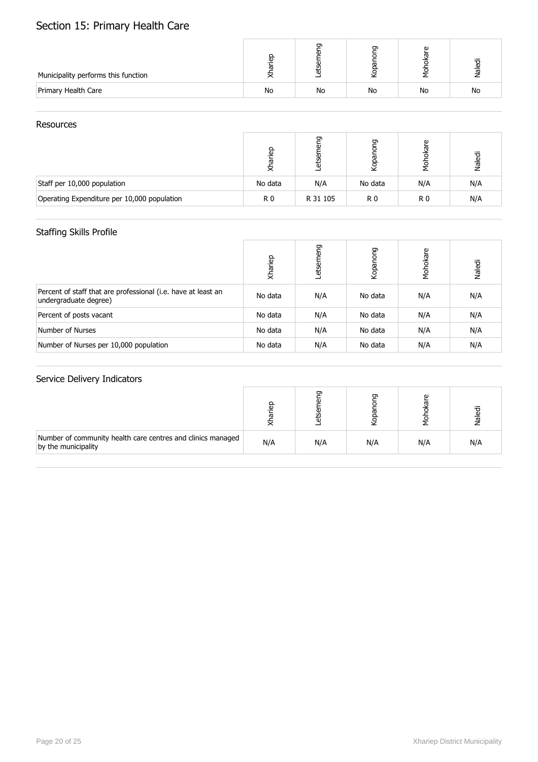# Section 15: Primary Health Care

| Municipality performs this function |    | 0  | ה  | ω<br>ത | <u>ଟ</u><br>᠊ᢛ |
|-------------------------------------|----|----|----|--------|----------------|
| Primary Health Care                 | No | No | No | No     | No             |

#### Resources

|                                             | 요.<br>이<br>⋝ | ᡡ<br>₩   | ⊡<br>īgq<br>₫  | Φ   | Naledi |
|---------------------------------------------|--------------|----------|----------------|-----|--------|
| Staff per 10,000 population                 | No data      | N/A      | No data        | N/A | N/A    |
| Operating Expenditure per 10,000 population | R 0          | R 31 105 | R <sub>0</sub> | R0  | N/A    |

### Staffing Skills Profile

|                                                                                        | Xhariep | etsemeng | Kopanong | Mohokare | Naledi |
|----------------------------------------------------------------------------------------|---------|----------|----------|----------|--------|
| Percent of staff that are professional (i.e. have at least an<br>undergraduate degree) | No data | N/A      | No data  | N/A      | N/A    |
| Percent of posts vacant                                                                | No data | N/A      | No data  | N/A      | N/A    |
| Number of Nurses                                                                       | No data | N/A      | No data  | N/A      | N/A    |
| Number of Nurses per 10,000 population                                                 | No data | N/A      | No data  | N/A      | N/A    |

|                                                                                    | $\overline{a}$ |     | ה   | Φ   | ᠊ᢛ  |
|------------------------------------------------------------------------------------|----------------|-----|-----|-----|-----|
| Number of community health care centres and clinics managed<br>by the municipality | N/A            | N/A | N/A | N/A | N/A |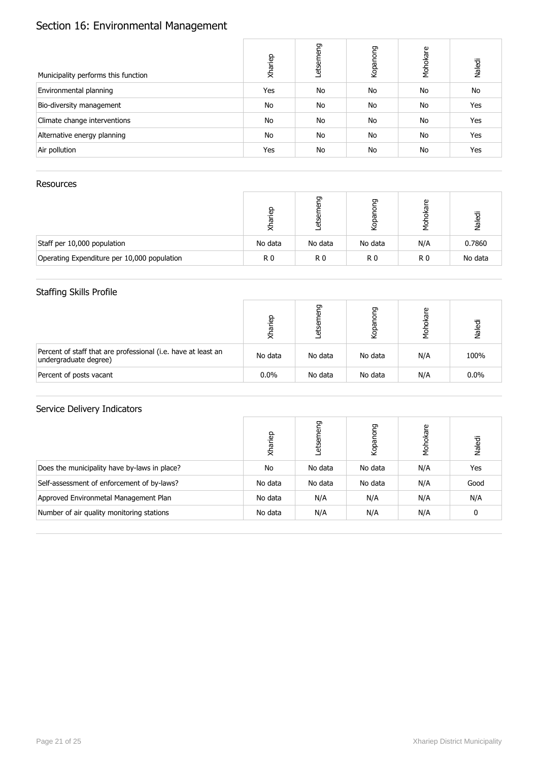# Section 16: Environmental Management

| Municipality performs this function | Xhariep | etsemeng | Kopanong | Mohokare | Naledi |
|-------------------------------------|---------|----------|----------|----------|--------|
| Environmental planning              | Yes     | No       | No       | No       | No     |
| Bio-diversity management            | No      | No       | No       | No       | Yes    |
| Climate change interventions        | No      | No       | No       | No       | Yes    |
| Alternative energy planning         | No      | No       | No       | No       | Yes    |
| Air pollution                       | Yes     | No       | No       | No       | Yes    |

#### **Resources**

|                                             | e<br>G<br>ㅎ | ᡡ<br>G)<br>άυ | ᡡ<br>Kopar | Φ<br>δş | Naledi  |
|---------------------------------------------|-------------|---------------|------------|---------|---------|
| Staff per 10,000 population                 | No data     | No data       | No data    | N/A     | 0.7860  |
| Operating Expenditure per 10,000 population | R0          | R0            | R0         | R0      | No data |

### Staffing Skills Profile

|                                                                                        | qarian<br>₹ | ರಾ<br>etser | פַי<br>Kopar | ഉ<br>ᅙ | Naledi |
|----------------------------------------------------------------------------------------|-------------|-------------|--------------|--------|--------|
| Percent of staff that are professional (i.e. have at least an<br>undergraduate degree) | No data     | No data     | No data      | N/A    | 100%   |
| Percent of posts vacant                                                                | $0.0\%$     | No data     | No data      | N/A    | 0.0%   |

|                                              | Xhariep | eng<br>etsem | puou<br>Kopar | Mohokare | Naledi |
|----------------------------------------------|---------|--------------|---------------|----------|--------|
| Does the municipality have by-laws in place? | No      | No data      | No data       | N/A      | Yes    |
| Self-assessment of enforcement of by-laws?   | No data | No data      | No data       | N/A      | Good   |
| Approved Environmetal Management Plan        | No data | N/A          | N/A           | N/A      | N/A    |
| Number of air quality monitoring stations    | No data | N/A          | N/A           | N/A      | 0      |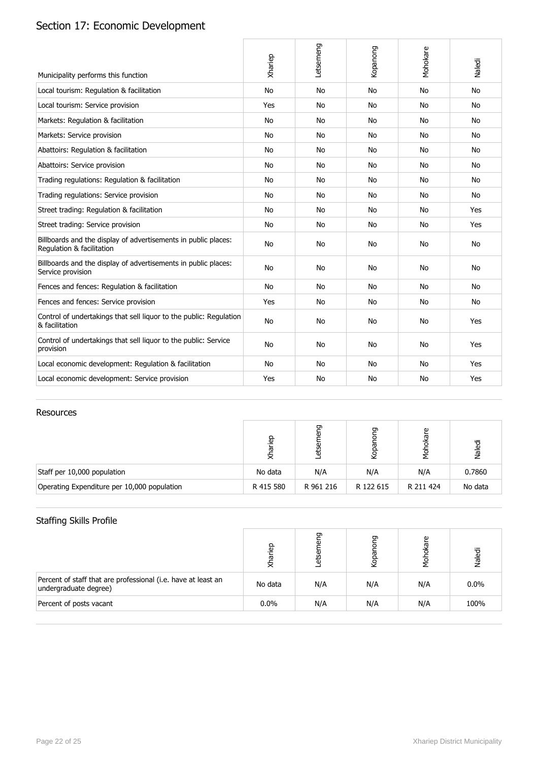# Section 17: Economic Development

| Municipality performs this function                                                         | Xhariep   | Letsemeng | Kopanong  | Mohokare  | Naledi    |
|---------------------------------------------------------------------------------------------|-----------|-----------|-----------|-----------|-----------|
| Local tourism: Regulation & facilitation                                                    | <b>No</b> | <b>No</b> | <b>No</b> | <b>No</b> | <b>No</b> |
| Local tourism: Service provision                                                            | Yes       | <b>No</b> | No        | No        | <b>No</b> |
| Markets: Regulation & facilitation                                                          | No        | No        | No        | <b>No</b> | No        |
| Markets: Service provision                                                                  | No        | <b>No</b> | No        | No        | <b>No</b> |
| Abattoirs: Regulation & facilitation                                                        | <b>No</b> | <b>No</b> | No        | No        | <b>No</b> |
| Abattoirs: Service provision                                                                | No        | <b>No</b> | No        | No        | No.       |
| Trading regulations: Regulation & facilitation                                              | <b>No</b> | <b>No</b> | No        | No        | No        |
| Trading regulations: Service provision                                                      | No        | <b>No</b> | <b>No</b> | No        | <b>No</b> |
| Street trading: Regulation & facilitation                                                   | No        | No        | No        | <b>No</b> | Yes       |
| Street trading: Service provision                                                           | <b>No</b> | No        | No        | <b>No</b> | Yes       |
| Billboards and the display of advertisements in public places:<br>Regulation & facilitation | <b>No</b> | <b>No</b> | <b>No</b> | No        | No        |
| Billboards and the display of advertisements in public places:<br>Service provision         | <b>No</b> | <b>No</b> | <b>No</b> | <b>No</b> | No        |
| Fences and fences: Regulation & facilitation                                                | No        | <b>No</b> | No        | No        | <b>No</b> |
| Fences and fences: Service provision                                                        | Yes       | <b>No</b> | No        | No        | No        |
| Control of undertakings that sell liguor to the public: Regulation<br>& facilitation        | <b>No</b> | <b>No</b> | <b>No</b> | <b>No</b> | Yes       |
| Control of undertakings that sell liquor to the public: Service<br>provision                | <b>No</b> | <b>No</b> | <b>No</b> | No        | Yes       |
| Local economic development: Regulation & facilitation                                       | <b>No</b> | <b>No</b> | <b>No</b> | <b>No</b> | Yes       |
| Local economic development: Service provision                                               | Yes       | <b>No</b> | No        | No        | Yes       |

#### Resources

|                                             | ariep<br>⋝ | ᡡ<br>$\overline{\mathbf{0}}$<br>සි | פ<br>Kopar | ഉ         | Naledi  |
|---------------------------------------------|------------|------------------------------------|------------|-----------|---------|
| Staff per 10,000 population                 | No data    | N/A                                | N/A        | N/A       | 0.7860  |
| Operating Expenditure per 10,000 population | R 415 580  | R 961 216                          | R 122 615  | R 211 424 | No data |

### Staffing Skills Profile

|                                                                                        | <u>a</u><br>ਛ<br>₹ | ヮ   | ᡡ<br>Kopa | ഉ   | Naledi |
|----------------------------------------------------------------------------------------|--------------------|-----|-----------|-----|--------|
| Percent of staff that are professional (i.e. have at least an<br>undergraduate degree) | No data            | N/A | N/A       | N/A | 0.0%   |
| Percent of posts vacant                                                                | $0.0\%$            | N/A | N/A       | N/A | 100%   |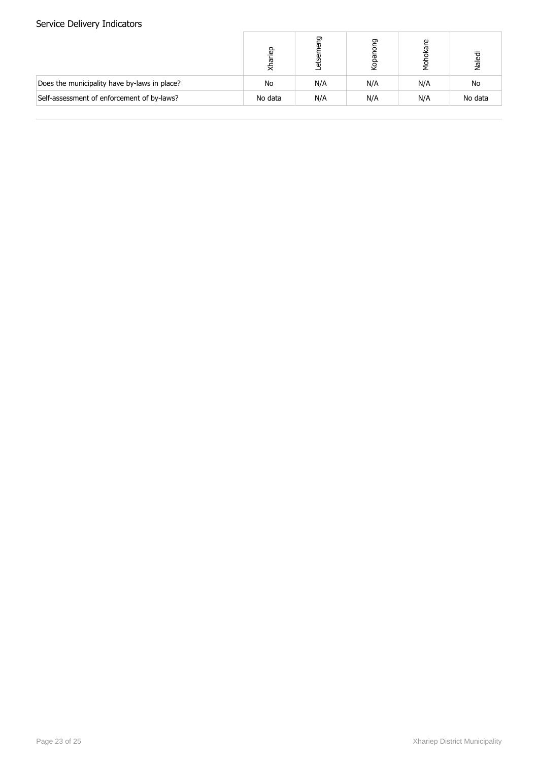|                                              | lariep<br>₹ | ᡡ<br>٥ | פַ<br>Kopar | kare<br>ᅙ<br>Nok<br>N | Naledi  |
|----------------------------------------------|-------------|--------|-------------|-----------------------|---------|
| Does the municipality have by-laws in place? | No          | N/A    | N/A         | N/A                   | No      |
| Self-assessment of enforcement of by-laws?   | No data     | N/A    | N/A         | N/A                   | No data |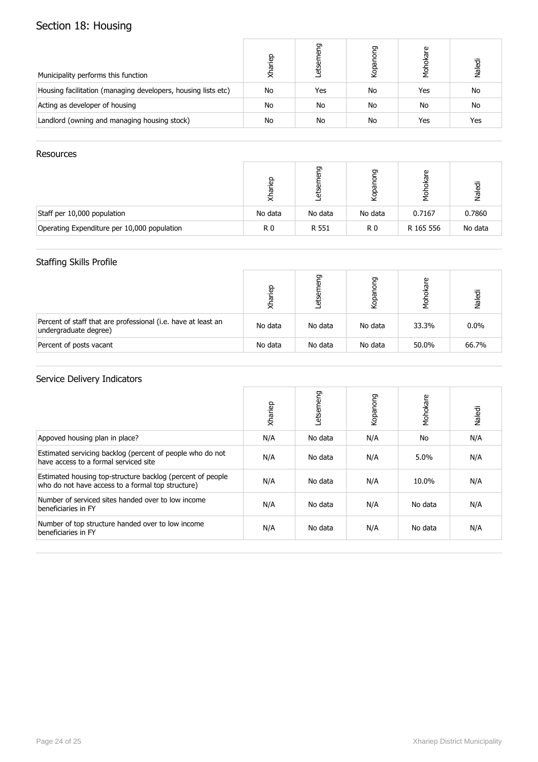# Section 18: Housing

| Municipality performs this function                           | Xhariep | ᡡ<br>etser | pong<br>Kopar | kare<br>λ<br>Σ | Naledi |
|---------------------------------------------------------------|---------|------------|---------------|----------------|--------|
| Housing facilitation (managing developers, housing lists etc) | No      | Yes        | No            | Yes            | No     |
| Acting as developer of housing                                | No      | No         | No            | No             | No     |
| Landlord (owning and managing housing stock)                  | No      | No         | No            | Yes            | Yes    |

#### **Resources**

|                                             | e.<br>ᢛ<br>≅ | ᡡ<br>₩  | ᡡ<br>ğ         | Φ<br>ថ្ង<br>ᇹ | Naledi  |
|---------------------------------------------|--------------|---------|----------------|---------------|---------|
| Staff per 10,000 population                 | No data      | No data | No data        | 0.7167        | 0.7860  |
| Operating Expenditure per 10,000 population | R0           | R 551   | R <sub>0</sub> | R 165 556     | No data |

#### Staffing Skills Profile

|                                                                                        | qariep<br>₹ | ᡡ<br>etsel | פַ<br>Kopar | ഉ<br>Σ<br>Σ | Naledi |
|----------------------------------------------------------------------------------------|-------------|------------|-------------|-------------|--------|
| Percent of staff that are professional (i.e. have at least an<br>undergraduate degree) | No data     | No data    | No data     | 33.3%       | 0.0%   |
| Percent of posts vacant                                                                | No data     | No data    | No data     | 50.0%       | 66.7%  |

|                                                                                                                 | Xhariep | Letsemeng | Kopanong | Mohokare | Naledi |
|-----------------------------------------------------------------------------------------------------------------|---------|-----------|----------|----------|--------|
| Appoved housing plan in place?                                                                                  | N/A     | No data   | N/A      | No       | N/A    |
| Estimated servicing backlog (percent of people who do not<br>have access to a formal serviced site              | N/A     | No data   | N/A      | $5.0\%$  | N/A    |
| Estimated housing top-structure backlog (percent of people<br>who do not have access to a formal top structure) | N/A     | No data   | N/A      | 10.0%    | N/A    |
| Number of serviced sites handed over to low income<br>beneficiaries in FY                                       | N/A     | No data   | N/A      | No data  | N/A    |
| Number of top structure handed over to low income<br>beneficiaries in FY                                        | N/A     | No data   | N/A      | No data  | N/A    |